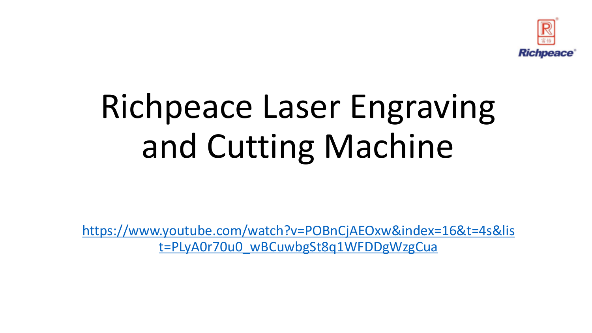

# Richpeace Laser Engraving and Cutting Machine

[https://www.youtube.com/watch?v=POBnCjAEOxw&index=16&t=4s&lis](https://www.youtube.com/watch?v=POBnCjAEOxw&index=16&t=4s&list=PLyA0r70u0_wBCuwbgSt8q1WFDDgWzgCua) [t=PLyA0r70u0\\_wBCuwbgSt8q1WFDDgWzgCua](https://www.youtube.com/watch?v=POBnCjAEOxw&index=16&t=4s&list=PLyA0r70u0_wBCuwbgSt8q1WFDDgWzgCua)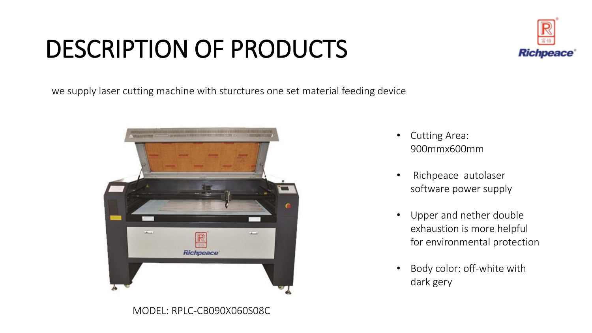## DESCRIPTION OF PRODUCTS



we supply laser cutting machine with sturctures one set material feeding device



- Cutting Area: 900mmx600mm
- Richpeace autolaser software power supply
- Upper and nether double exhaustion is more helpful for environmental protection
- Body color: off-white with dark gery

MODEL: RPLC-CB090X060S08C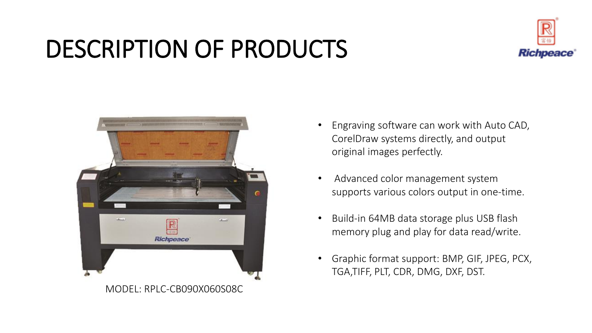### DESCRIPTION OF PRODUCTS





- Engraving software can work with Auto CAD, CorelDraw systems directly, and output original images perfectly.
- Advanced color management system supports various colors output in one-time.
- Build-in 64MB data storage plus USB flash memory plug and play for data read/write.
- Graphic format support: BMP, GIF, JPEG, PCX, TGA,TIFF, PLT, CDR, DMG, DXF, DST.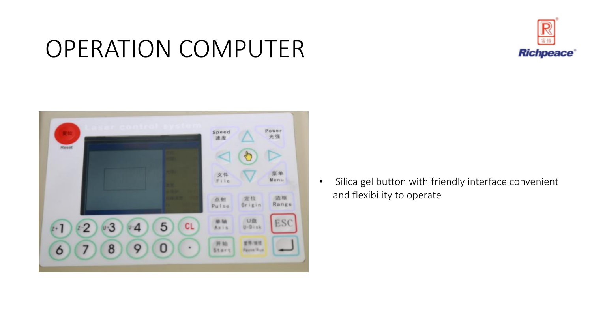#### OPERATION COMPUTER





• Silica gel button with friendly interface convenient and flexibility to operate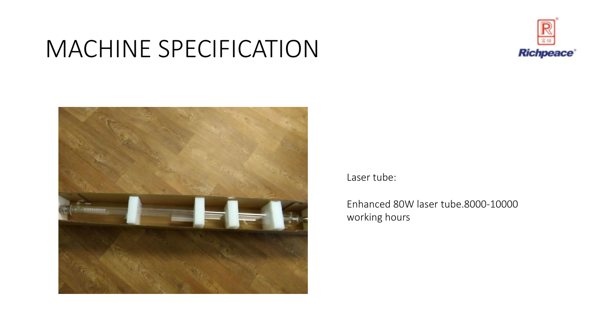### MACHINE SPECIFICATION





#### Laser tube:

Enhanced 80W laser tube.8000-10000 working hours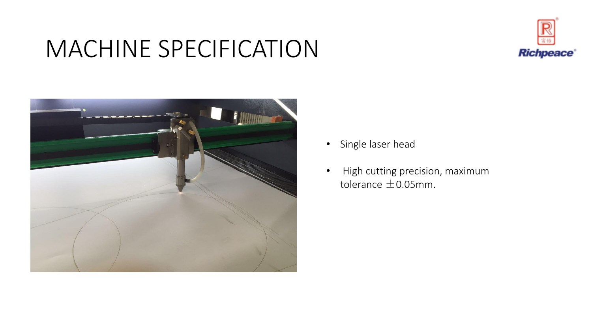### MACHINE SPECIFICATION





- Single laser head
- High cutting precision, maximum tolerance  $\pm$  0.05mm.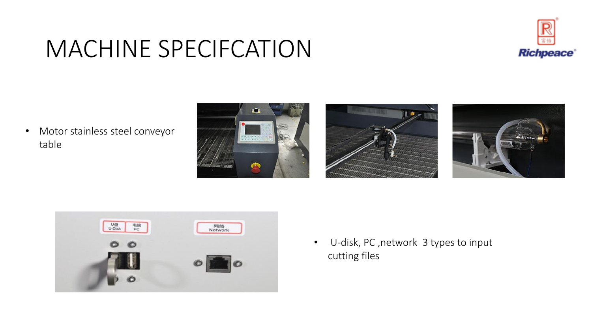# **Richpeace**

#### MACHINE SPECIFCATION

• Motor stainless steel conveyor table









• U-disk, PC ,network 3 types to input cutting files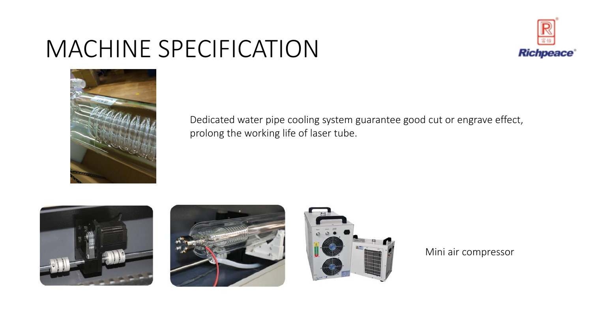### MACHINE SPECIFICATION





Dedicated water pipe cooling system guarantee good cut or engrave effect, prolong the working life of laser tube.







Mini air compressor